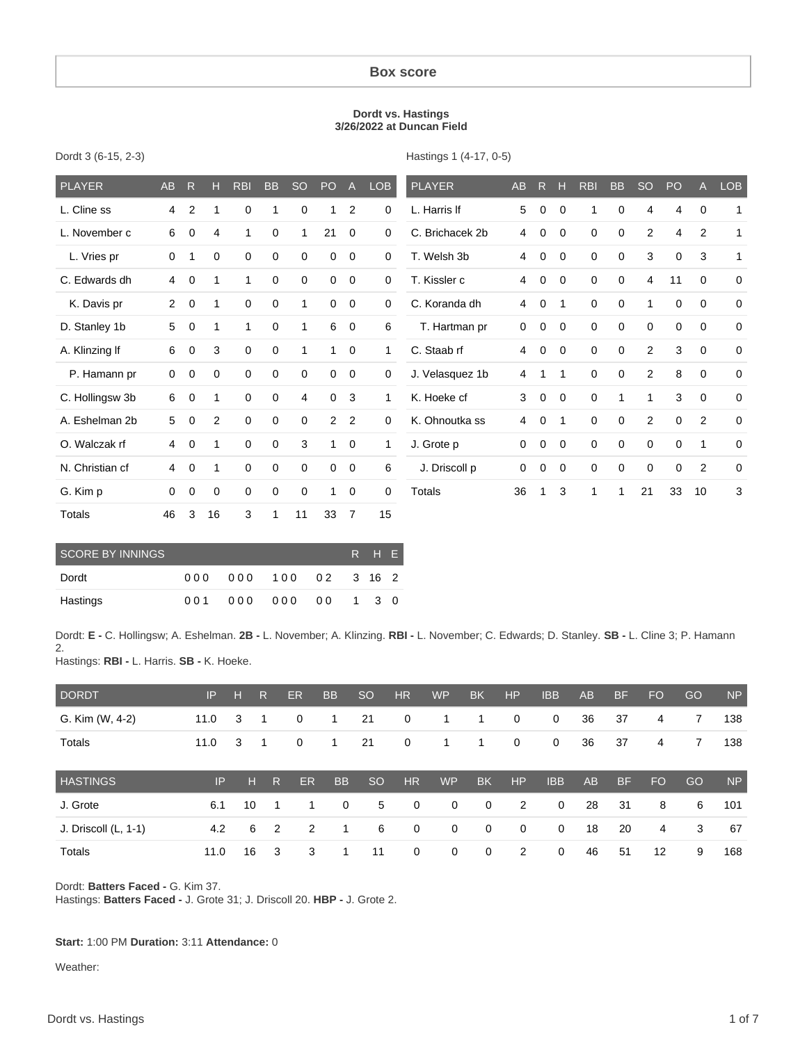#### **Box score**

#### **Dordt vs. Hastings 3/26/2022 at Duncan Field**

| <b>PLAYER</b>   | AB           | R              | н              | <b>RBI</b>  | <b>BB</b>   | <b>SO</b>   | PO             | $\overline{A}$ | LOB          | <b>PLAYER</b>   | AB | R           | н           | <b>RBI</b>  | <b>BB</b>   | <b>SO</b>      | PO          | A           | <b>LOB</b>  |
|-----------------|--------------|----------------|----------------|-------------|-------------|-------------|----------------|----------------|--------------|-----------------|----|-------------|-------------|-------------|-------------|----------------|-------------|-------------|-------------|
| L. Cline ss     | 4            | $\overline{2}$ | 1              | 0           |             | 0           | 1              | $\overline{2}$ | 0            | L. Harris If    | 5  | 0           | 0           | 1           | 0           | 4              | 4           | 0           | 1           |
| L. November c   | 6            | 0              | 4              |             | 0           |             | 21             | 0              | 0            | C. Brichacek 2b | 4  | 0           | 0           | 0           | 0           | 2              | 4           | 2           | 1           |
| L. Vries pr     | 0            | $\mathbf{1}$   | $\mathbf 0$    | 0           | $\mathbf 0$ | 0           | 0              | $\mathbf 0$    | 0            | T. Welsh 3b     | 4  | 0           | $\mathbf 0$ | $\mathbf 0$ | $\mathbf 0$ | 3              | 0           | 3           | 1           |
| C. Edwards dh   | 4            | $\mathbf 0$    | 1              | 1           | 0           | 0           | 0              | $\mathbf 0$    | 0            | T. Kissler c    | 4  | $\mathbf 0$ | $\mathbf 0$ | $\mathbf 0$ | $\mathbf 0$ | $\overline{4}$ | 11          | $\mathbf 0$ | $\mathbf 0$ |
| K. Davis pr     | $\mathbf{2}$ | $\mathbf 0$    | 1              | $\mathbf 0$ | $\mathbf 0$ | 1           | 0              | $\mathbf 0$    | 0            | C. Koranda dh   | 4  | $\mathbf 0$ | 1           | $\mathbf 0$ | $\mathbf 0$ | 1              | $\mathbf 0$ | $\mathbf 0$ | $\mathbf 0$ |
| D. Stanley 1b   | 5            | 0              | 1              | 1           | 0           | 1           | 6              | 0              | 6            | T. Hartman pr   | 0  | 0           | $\mathbf 0$ | $\mathbf 0$ | 0           | $\mathbf 0$    | $\mathbf 0$ | $\mathbf 0$ | $\mathbf 0$ |
| A. Klinzing If  | 6            | $\mathbf 0$    | 3              | $\mathbf 0$ | $\mathbf 0$ | 1           | 1              | $\mathbf 0$    | $\mathbf{1}$ | C. Staab rf     | 4  | $\mathbf 0$ | $\mathbf 0$ | $\mathbf 0$ | 0           | 2              | 3           | $\mathbf 0$ | $\mathbf 0$ |
| P. Hamann pr    | 0            | $\mathbf 0$    | $\mathbf 0$    | 0           | 0           | $\Omega$    | 0              | 0              | 0            | J. Velasquez 1b | 4  | 1           | 1           | $\mathbf 0$ | 0           | 2              | 8           | 0           | $\Omega$    |
| C. Hollingsw 3b | 6            | $\mathbf 0$    | 1              | 0           | 0           | 4           | 0              | 3              | $\mathbf{1}$ | K. Hoeke cf     | 3  | $\mathbf 0$ | $\mathbf 0$ | 0           | 1           | 1              | 3           | 0           | $\mathbf 0$ |
| A. Eshelman 2b  | 5            | 0              | $\overline{2}$ | $\mathbf 0$ | $\mathbf 0$ | $\mathbf 0$ | $\overline{2}$ | 2              | $\mathbf 0$  | K. Ohnoutka ss  | 4  | 0           | 1           | $\mathbf 0$ | $\mathbf 0$ | 2              | $\mathbf 0$ | 2           | $\Omega$    |
| O. Walczak rf   | 4            | $\mathbf 0$    | 1              | 0           | 0           | 3           | $\overline{1}$ | $\mathbf 0$    | $\mathbf{1}$ | J. Grote p      | 0  | 0           | $\mathbf 0$ | $\mathbf 0$ | 0           | $\mathbf 0$    | $\mathbf 0$ | 1           | $\mathbf 0$ |
| N. Christian cf | 4            | $\mathbf 0$    | 1              | $\mathbf 0$ | $\mathbf 0$ | 0           | $\mathbf 0$    | $\mathbf 0$    | 6            | J. Driscoll p   | 0  | 0           | 0           | $\mathbf 0$ | $\mathbf 0$ | $\mathbf 0$    | $\mathbf 0$ | 2           | $\mathbf 0$ |
| G. Kim p        | 0            | $\mathbf 0$    | 0              | 0           | 0           | 0           | 1              | 0              | 0            | <b>Totals</b>   | 36 | 1           | 3           | 1           | 1           | 21             | 33          | 10          | 3           |
| <b>Totals</b>   | 46           | 3              | 16             | 3           | 1           | 11          | 33             | $\overline{7}$ | 15           |                 |    |             |             |             |             |                |             |             |             |

| Dordt 3 (6-15, 2-3) |  |  |  |
|---------------------|--|--|--|
|---------------------|--|--|--|

Hastings 1 (4-17, 0-5)

| SCORE BY INNINGS |     |     |               |  | R H E |  |
|------------------|-----|-----|---------------|--|-------|--|
| Dordt            | 000 | 000 | 100 02 3 16 2 |  |       |  |
| Hastings         | 001 |     | 000 000 00    |  | 1 3 0 |  |

Dordt: **E -** C. Hollingsw; A. Eshelman. **2B -** L. November; A. Klinzing. **RBI -** L. November; C. Edwards; D. Stanley. **SB -** L. Cline 3; P. Hamann 2. Hastings: **RBI -** L. Harris. **SB -** K. Hoeke.

| <b>DORDT</b>         | IP   | н  | R              | ER        | <b>BB</b>   | <sub>SO</sub> | <b>HR</b>    | <b>WP</b>   | <b>BK</b>   | HP          | <b>IBB</b>     | <b>AB</b> | BF        | FO. | GO | <b>NP</b>      |
|----------------------|------|----|----------------|-----------|-------------|---------------|--------------|-------------|-------------|-------------|----------------|-----------|-----------|-----|----|----------------|
| G. Kim (W, 4-2)      | 11.0 | 3  | -1             | 0         | 1           | 21            | $\mathbf 0$  | 1           | 1.          | $\mathbf 0$ | $\mathbf{0}$   | 36        | 37        | 4   | 7  | 138            |
| Totals               | 11.0 | 3  | $\overline{1}$ | 0         | 1           | 21            | $\mathbf 0$  | 1           | 1.          | $\mathbf 0$ | $\mathbf{0}$   | 36        | 37        | 4   | 7  | 138            |
| <b>HASTINGS</b>      | IP   | н  | -R             | <b>ER</b> | <b>BB</b>   | <sub>SO</sub> | HR           | <b>WP</b>   | <b>BK</b>   | HP          | <b>IBB</b>     | <b>AB</b> | <b>BF</b> | FO. | GO | N <sub>P</sub> |
| J. Grote             | 6.1  | 10 | $\overline{1}$ |           | $\mathbf 0$ | 5             | $\mathbf 0$  | $\mathbf 0$ | $\mathbf 0$ | 2           | $\overline{0}$ | 28        | 31        | 8   | 6  | 101            |
| J. Driscoll (L, 1-1) | 4.2  | 6  | $\overline{2}$ | 2         | 1           | 6             | $\mathbf{0}$ | $\mathbf 0$ | $\mathbf 0$ | $\mathbf 0$ | 0              | 18        | 20        | 4   | 3  | 67             |
| Totals               | 11.0 | 16 | -3             | 3         |             | 11            | $\mathbf 0$  | 0           | $\mathbf 0$ | 2           | 0              | 46        | 51        | 12  | 9  | 168            |

Dordt: **Batters Faced -** G. Kim 37.

Hastings: **Batters Faced -** J. Grote 31; J. Driscoll 20. **HBP -** J. Grote 2.

#### **Start:** 1:00 PM **Duration:** 3:11 **Attendance:** 0

Weather: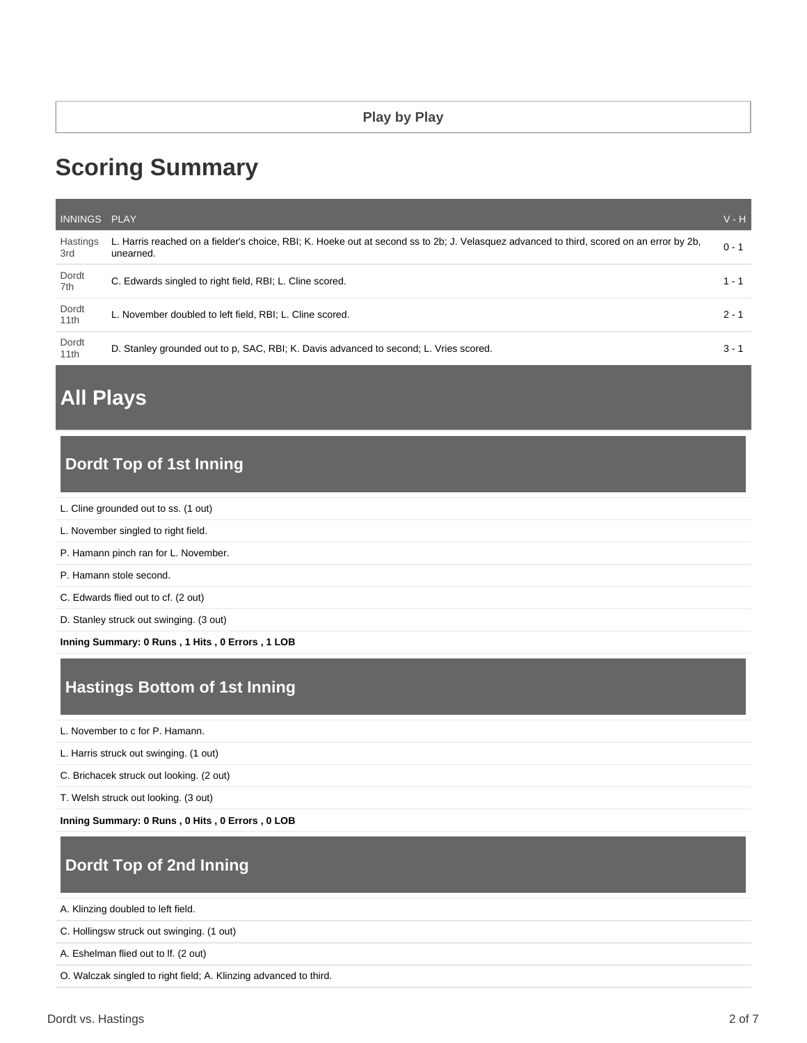# **Scoring Summary**

| INNINGS PLAY    |                                                                                                                                                       | $V - H$ |
|-----------------|-------------------------------------------------------------------------------------------------------------------------------------------------------|---------|
| Hastings<br>3rd | L. Harris reached on a fielder's choice, RBI; K. Hoeke out at second ss to 2b; J. Velasquez advanced to third, scored on an error by 2b,<br>unearned. | $0 - 1$ |
| Dordt<br>7th    | C. Edwards singled to right field, RBI; L. Cline scored.                                                                                              | $1 - 1$ |
| Dordt<br>11th   | L. November doubled to left field, RBI; L. Cline scored.                                                                                              | $2 - 1$ |
| Dordt<br>11th   | D. Stanley grounded out to p. SAC, RBI: K. Davis advanced to second: L. Vries scored.                                                                 | $3 - 1$ |

# **All Plays**

# **Dordt Top of 1st Inning**

- L. Cline grounded out to ss. (1 out)
- L. November singled to right field.
- P. Hamann pinch ran for L. November.
- P. Hamann stole second.
- C. Edwards flied out to cf. (2 out)
- D. Stanley struck out swinging. (3 out)

**Inning Summary: 0 Runs , 1 Hits , 0 Errors , 1 LOB**

# **Hastings Bottom of 1st Inning**

L. November to c for P. Hamann.

L. Harris struck out swinging. (1 out)

C. Brichacek struck out looking. (2 out)

T. Welsh struck out looking. (3 out)

**Inning Summary: 0 Runs , 0 Hits , 0 Errors , 0 LOB**

# **Dordt Top of 2nd Inning**

A. Klinzing doubled to left field.

C. Hollingsw struck out swinging. (1 out)

A. Eshelman flied out to lf. (2 out)

O. Walczak singled to right field; A. Klinzing advanced to third.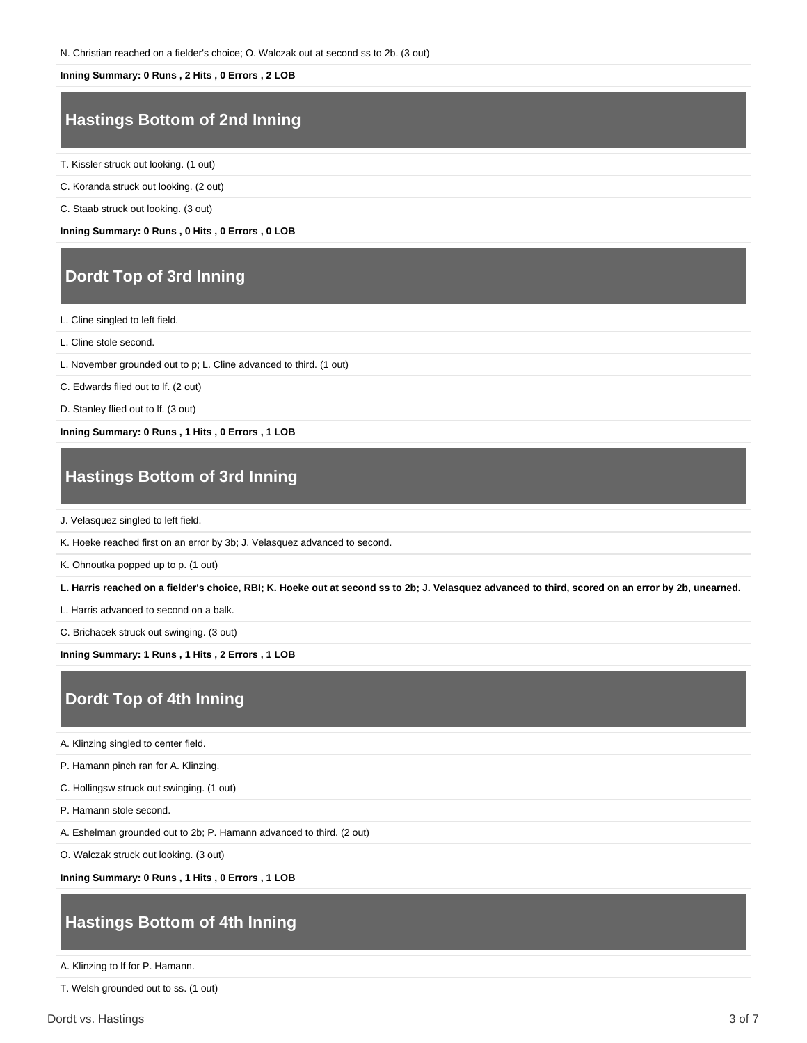#### **Inning Summary: 0 Runs , 2 Hits , 0 Errors , 2 LOB**

### **Hastings Bottom of 2nd Inning**

T. Kissler struck out looking. (1 out)

C. Koranda struck out looking. (2 out)

C. Staab struck out looking. (3 out)

**Inning Summary: 0 Runs , 0 Hits , 0 Errors , 0 LOB**

### **Dordt Top of 3rd Inning**

L. Cline singled to left field.

L. Cline stole second.

L. November grounded out to p; L. Cline advanced to third. (1 out)

C. Edwards flied out to lf. (2 out)

D. Stanley flied out to lf. (3 out)

**Inning Summary: 0 Runs , 1 Hits , 0 Errors , 1 LOB**

### **Hastings Bottom of 3rd Inning**

J. Velasquez singled to left field.

K. Hoeke reached first on an error by 3b; J. Velasquez advanced to second.

K. Ohnoutka popped up to p. (1 out)

**L. Harris reached on a fielder's choice, RBI; K. Hoeke out at second ss to 2b; J. Velasquez advanced to third, scored on an error by 2b, unearned.**

L. Harris advanced to second on a balk.

C. Brichacek struck out swinging. (3 out)

**Inning Summary: 1 Runs , 1 Hits , 2 Errors , 1 LOB**

# **Dordt Top of 4th Inning**

A. Klinzing singled to center field.

P. Hamann pinch ran for A. Klinzing.

C. Hollingsw struck out swinging. (1 out)

P. Hamann stole second.

A. Eshelman grounded out to 2b; P. Hamann advanced to third. (2 out)

O. Walczak struck out looking. (3 out)

**Inning Summary: 0 Runs , 1 Hits , 0 Errors , 1 LOB**

#### **Hastings Bottom of 4th Inning**

A. Klinzing to lf for P. Hamann.

T. Welsh grounded out to ss. (1 out)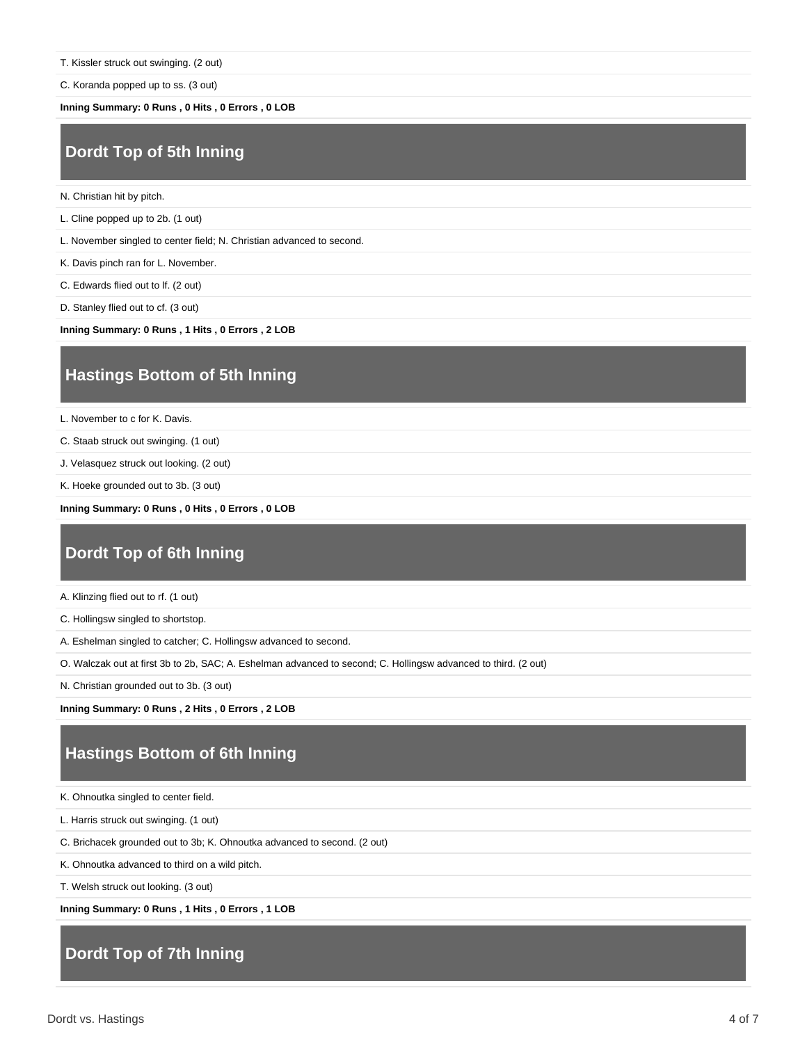C. Koranda popped up to ss. (3 out)

**Inning Summary: 0 Runs , 0 Hits , 0 Errors , 0 LOB**

#### **Dordt Top of 5th Inning**

- N. Christian hit by pitch.
- L. Cline popped up to 2b. (1 out)

L. November singled to center field; N. Christian advanced to second.

- K. Davis pinch ran for L. November.
- C. Edwards flied out to lf. (2 out)
- D. Stanley flied out to cf. (3 out)

**Inning Summary: 0 Runs , 1 Hits , 0 Errors , 2 LOB**

### **Hastings Bottom of 5th Inning**

L. November to c for K. Davis.

- C. Staab struck out swinging. (1 out)
- J. Velasquez struck out looking. (2 out)
- K. Hoeke grounded out to 3b. (3 out)

**Inning Summary: 0 Runs , 0 Hits , 0 Errors , 0 LOB**

#### **Dordt Top of 6th Inning**

- A. Klinzing flied out to rf. (1 out)
- C. Hollingsw singled to shortstop.
- A. Eshelman singled to catcher; C. Hollingsw advanced to second.
- O. Walczak out at first 3b to 2b, SAC; A. Eshelman advanced to second; C. Hollingsw advanced to third. (2 out)
- N. Christian grounded out to 3b. (3 out)

**Inning Summary: 0 Runs , 2 Hits , 0 Errors , 2 LOB**

### **Hastings Bottom of 6th Inning**

- K. Ohnoutka singled to center field.
- L. Harris struck out swinging. (1 out)
- C. Brichacek grounded out to 3b; K. Ohnoutka advanced to second. (2 out)
- K. Ohnoutka advanced to third on a wild pitch.
- T. Welsh struck out looking. (3 out)

**Inning Summary: 0 Runs , 1 Hits , 0 Errors , 1 LOB**

# **Dordt Top of 7th Inning**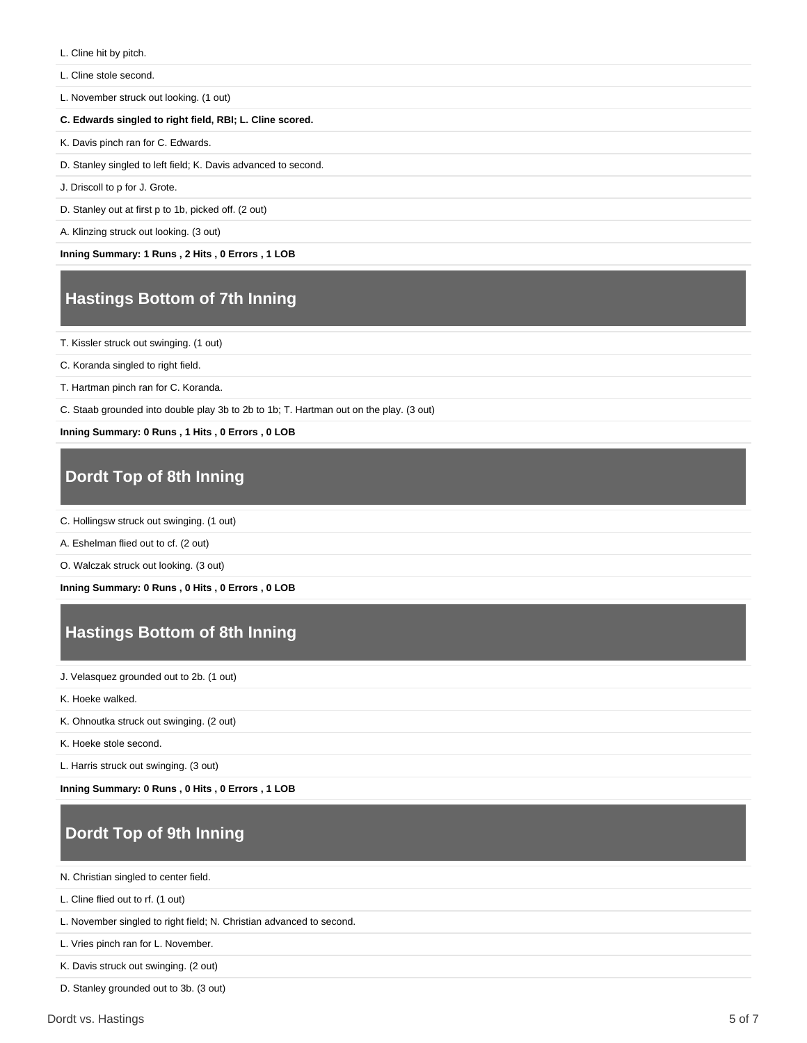- L. Cline hit by pitch.
- L. Cline stole second.
- L. November struck out looking. (1 out)

#### **C. Edwards singled to right field, RBI; L. Cline scored.**

- K. Davis pinch ran for C. Edwards.
- D. Stanley singled to left field; K. Davis advanced to second.
- J. Driscoll to p for J. Grote.

D. Stanley out at first p to 1b, picked off. (2 out)

A. Klinzing struck out looking. (3 out)

**Inning Summary: 1 Runs , 2 Hits , 0 Errors , 1 LOB**

# **Hastings Bottom of 7th Inning**

T. Kissler struck out swinging. (1 out)

C. Koranda singled to right field.

T. Hartman pinch ran for C. Koranda.

C. Staab grounded into double play 3b to 2b to 1b; T. Hartman out on the play. (3 out)

**Inning Summary: 0 Runs , 1 Hits , 0 Errors , 0 LOB**

# **Dordt Top of 8th Inning**

- C. Hollingsw struck out swinging. (1 out)
- A. Eshelman flied out to cf. (2 out)

O. Walczak struck out looking. (3 out)

**Inning Summary: 0 Runs , 0 Hits , 0 Errors , 0 LOB**

# **Hastings Bottom of 8th Inning**

J. Velasquez grounded out to 2b. (1 out)

K. Hoeke walked.

K. Ohnoutka struck out swinging. (2 out)

K. Hoeke stole second.

L. Harris struck out swinging. (3 out)

**Inning Summary: 0 Runs , 0 Hits , 0 Errors , 1 LOB**

# **Dordt Top of 9th Inning**

N. Christian singled to center field.

L. Cline flied out to rf. (1 out)

L. November singled to right field; N. Christian advanced to second.

L. Vries pinch ran for L. November.

K. Davis struck out swinging. (2 out)

D. Stanley grounded out to 3b. (3 out)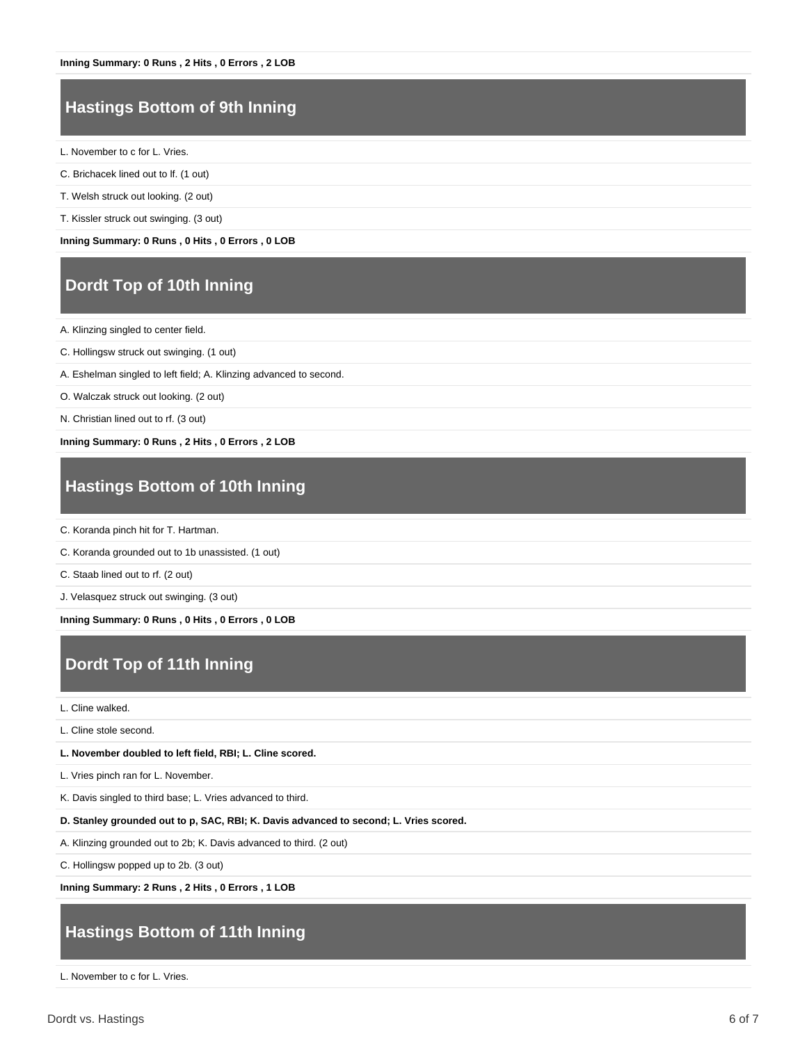# **Hastings Bottom of 9th Inning**

L. November to c for L. Vries.

- C. Brichacek lined out to lf. (1 out)
- T. Welsh struck out looking. (2 out)
- T. Kissler struck out swinging. (3 out)

**Inning Summary: 0 Runs , 0 Hits , 0 Errors , 0 LOB**

### **Dordt Top of 10th Inning**

A. Klinzing singled to center field.

- C. Hollingsw struck out swinging. (1 out)
- A. Eshelman singled to left field; A. Klinzing advanced to second.
- O. Walczak struck out looking. (2 out)
- N. Christian lined out to rf. (3 out)

**Inning Summary: 0 Runs , 2 Hits , 0 Errors , 2 LOB**

# **Hastings Bottom of 10th Inning**

C. Koranda pinch hit for T. Hartman.

C. Koranda grounded out to 1b unassisted. (1 out)

C. Staab lined out to rf. (2 out)

J. Velasquez struck out swinging. (3 out)

**Inning Summary: 0 Runs , 0 Hits , 0 Errors , 0 LOB**

# **Dordt Top of 11th Inning**

#### L. Cline walked.

L. Cline stole second.

**L. November doubled to left field, RBI; L. Cline scored.**

L. Vries pinch ran for L. November.

K. Davis singled to third base; L. Vries advanced to third.

**D. Stanley grounded out to p, SAC, RBI; K. Davis advanced to second; L. Vries scored.**

A. Klinzing grounded out to 2b; K. Davis advanced to third. (2 out)

C. Hollingsw popped up to 2b. (3 out)

**Inning Summary: 2 Runs , 2 Hits , 0 Errors , 1 LOB**

#### **Hastings Bottom of 11th Inning**

L. November to c for L. Vries.